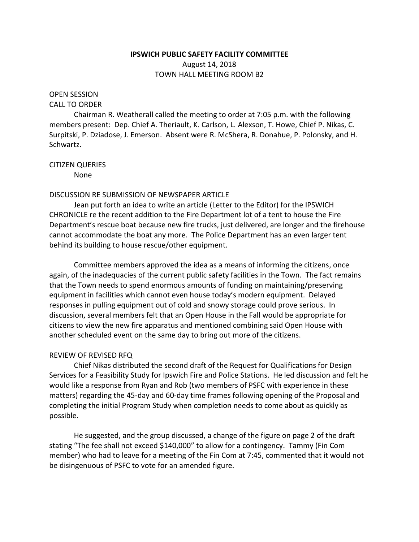# **IPSWICH PUBLIC SAFETY FACILITY COMMITTEE**

August 14, 2018 TOWN HALL MEETING ROOM B2

# OPEN SESSION

### CALL TO ORDER

Chairman R. Weatherall called the meeting to order at 7:05 p.m. with the following members present: Dep. Chief A. Theriault, K. Carlson, L. Alexson, T. Howe, Chief P. Nikas, C. Surpitski, P. Dziadose, J. Emerson. Absent were R. McShera, R. Donahue, P. Polonsky, and H. Schwartz.

## CITIZEN QUERIES

None

### DISCUSSION RE SUBMISSION OF NEWSPAPER ARTICLE

Jean put forth an idea to write an article (Letter to the Editor) for the IPSWICH CHRONICLE re the recent addition to the Fire Department lot of a tent to house the Fire Department's rescue boat because new fire trucks, just delivered, are longer and the firehouse cannot accommodate the boat any more. The Police Department has an even larger tent behind its building to house rescue/other equipment.

Committee members approved the idea as a means of informing the citizens, once again, of the inadequacies of the current public safety facilities in the Town. The fact remains that the Town needs to spend enormous amounts of funding on maintaining/preserving equipment in facilities which cannot even house today's modern equipment. Delayed responses in pulling equipment out of cold and snowy storage could prove serious. In discussion, several members felt that an Open House in the Fall would be appropriate for citizens to view the new fire apparatus and mentioned combining said Open House with another scheduled event on the same day to bring out more of the citizens.

# REVIEW OF REVISED RFQ

Chief Nikas distributed the second draft of the Request for Qualifications for Design Services for a Feasibility Study for Ipswich Fire and Police Stations. He led discussion and felt he would like a response from Ryan and Rob (two members of PSFC with experience in these matters) regarding the 45-day and 60-day time frames following opening of the Proposal and completing the initial Program Study when completion needs to come about as quickly as possible.

He suggested, and the group discussed, a change of the figure on page 2 of the draft stating "The fee shall not exceed \$140,000" to allow for a contingency. Tammy (Fin Com member) who had to leave for a meeting of the Fin Com at 7:45, commented that it would not be disingenuous of PSFC to vote for an amended figure.